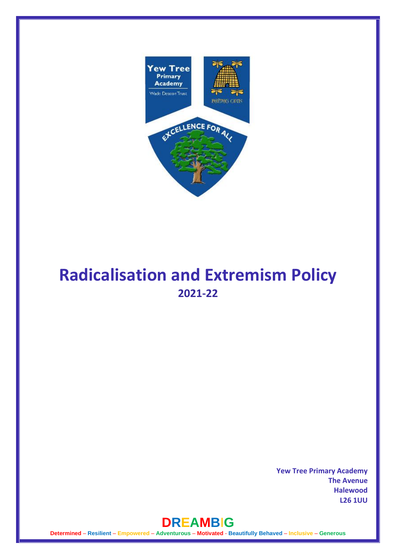

# **Radicalisation and Extremism Policy 2021-22**

**Yew Tree Primary Academy The Avenue Halewood L26 1UU** 

## **DREAMB**I**G**

**Determined** – **Resilient** – **Empowered** – **Adventurous** – **Motivated** - **Beautifully Behaved** – **Inclusive** – **Generous**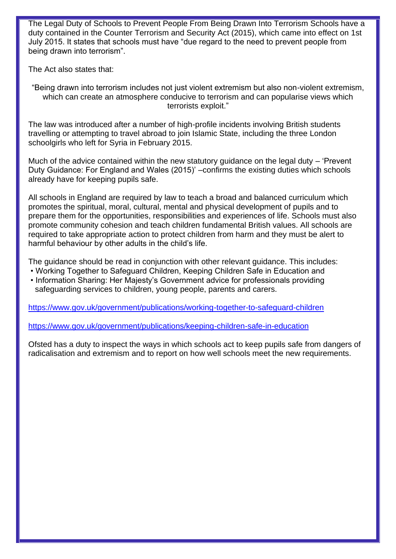The Legal Duty of Schools to Prevent People From Being Drawn Into Terrorism Schools have a duty contained in the Counter Terrorism and Security Act (2015), which came into effect on 1st July 2015. It states that schools must have "due regard to the need to prevent people from being drawn into terrorism".

The Act also states that:

"Being drawn into terrorism includes not just violent extremism but also non-violent extremism, which can create an atmosphere conducive to terrorism and can popularise views which terrorists exploit."

The law was introduced after a number of high-profile incidents involving British students travelling or attempting to travel abroad to join Islamic State, including the three London schoolgirls who left for Syria in February 2015.

Much of the advice contained within the new statutory guidance on the legal duty – 'Prevent Duty Guidance: For England and Wales (2015)' –confirms the existing duties which schools already have for keeping pupils safe.

All schools in England are required by law to teach a broad and balanced curriculum which promotes the spiritual, moral, cultural, mental and physical development of pupils and to prepare them for the opportunities, responsibilities and experiences of life. Schools must also promote community cohesion and teach children fundamental British values. All schools are required to take appropriate action to protect children from harm and they must be alert to harmful behaviour by other adults in the child's life.

The guidance should be read in conjunction with other relevant guidance. This includes:

- Working Together to Safeguard Children, Keeping Children Safe in Education and
- Information Sharing: Her Majesty's Government advice for professionals providing safeguarding services to children, young people, parents and carers.

<https://www.gov.uk/government/publications/working-together-to-safeguard-children>

<https://www.gov.uk/government/publications/keeping-children-safe-in-education>

Ofsted has a duty to inspect the ways in which schools act to keep pupils safe from dangers of radicalisation and extremism and to report on how well schools meet the new requirements.